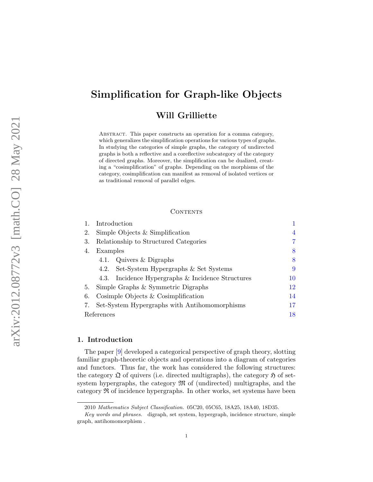# Simplification for Graph-like Objects

# Will Grilliette

Abstract. This paper constructs an operation for a comma category, which generalizes the simplification operations for various types of graphs. In studying the categories of simple graphs, the category of undirected graphs is both a reflective and a coreflective subcategory of the category of directed graphs. Moreover, the simplification can be dualized, creating a "cosimplification" of graphs. Depending on the morphisms of the category, cosimplification can manifest as removal of isolated vertices or as traditional removal of parallel edges.

#### **CONTENTS**

|            | Introduction                                  |                                                   |    |
|------------|-----------------------------------------------|---------------------------------------------------|----|
| 2.         | Simple Objects $&$ Simplification             |                                                   | 4  |
| 3.         | Relationship to Structured Categories         |                                                   | 7  |
| 4.         | Examples                                      |                                                   | 8  |
|            | 4.1.                                          | Quivers & Digraphs                                | 8  |
|            |                                               | 4.2. Set-System Hypergraphs & Set Systems         | 9  |
|            |                                               | 4.3. Incidence Hypergraphs & Incidence Structures | 10 |
| 5.         | Simple Graphs & Symmetric Digraphs            |                                                   | 12 |
| 6.         | Cosimple Objects $&$ Cosimplification         |                                                   | 14 |
| 7.         | Set-System Hypergraphs with Antihomomorphisms |                                                   | 17 |
| References |                                               |                                                   | 18 |

#### 1. Introduction

The paper [\[9\]](#page-18-0) developed a categorical perspective of graph theory, slotting familiar graph-theoretic objects and operations into a diagram of categories and functors. Thus far, the work has considered the following structures: the category  $\mathfrak Q$  of quivers (i.e. directed multigraphs), the category  $\mathfrak H$  of setsystem hypergraphs, the category  $\mathfrak{M}$  of (undirected) multigraphs, and the category R of incidence hypergraphs. In other works, set systems have been

<sup>2010</sup> Mathematics Subject Classification. 05C20, 05C65, 18A25, 18A40, 18D35.

Key words and phrases. digraph, set system, hypergraph, incidence structure, simple graph, antihomomorphism .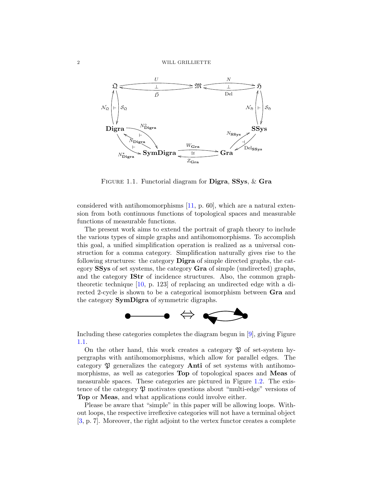<span id="page-1-0"></span>

FIGURE 1.1. Functorial diagram for **Digra**, SSys, & Gra

considered with antihomomorphisms [\[11,](#page-18-0) p. 60], which are a natural extension from both continuous functions of topological spaces and measurable functions of measurable functions.

The present work aims to extend the portrait of graph theory to include the various types of simple graphs and antihomomorphisms. To accomplish this goal, a unified simplification operation is realized as a universal construction for a comma category. Simplification naturally gives rise to the following structures: the category Digra of simple directed graphs, the category SSys of set systems, the category Gra of simple (undirected) graphs, and the category IStr of incidence structures. Also, the common graphtheoretic technique [\[10,](#page-18-0) p. 123] of replacing an undirected edge with a directed 2-cycle is shown to be a categorical isomorphism between Gra and the category SymDigra of symmetric digraphs.



Including these categories completes the diagram begun in [\[9\]](#page-18-0), giving Figure 1.1.

On the other hand, this work creates a category  $\mathfrak V$  of set-system hypergraphs with antihomomorphisms, which allow for parallel edges. The category  $\mathfrak P$  generalizes the category **Anti** of set systems with antihomomorphisms, as well as categories Top of topological spaces and Meas of measurable spaces. These categories are pictured in Figure [1.2.](#page-2-0) The existence of the category  $\mathfrak P$  motivates questions about "multi-edge" versions of Top or Meas, and what applications could involve either.

Please be aware that "simple" in this paper will be allowing loops. Without loops, the respective irreflexive categories will not have a terminal object [\[3,](#page-17-0) p. 7]. Moreover, the right adjoint to the vertex functor creates a complete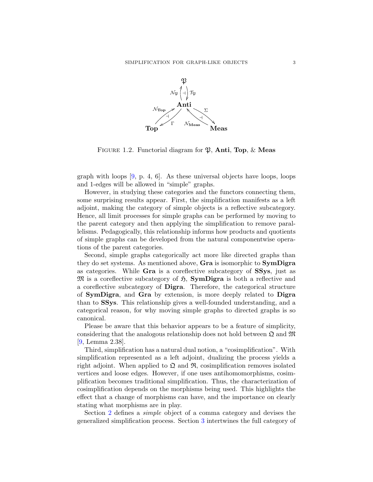<span id="page-2-0"></span>

FIGURE 1.2. Functorial diagram for  $\mathfrak{P}$ , **Anti**, Top,  $\&$  **Meas** 

graph with loops  $[9, p. 4, 6]$ . As these universal objects have loops, loops and 1-edges will be allowed in "simple" graphs.

However, in studying these categories and the functors connecting them, some surprising results appear. First, the simplification manifests as a left adjoint, making the category of simple objects is a reflective subcategory. Hence, all limit processes for simple graphs can be performed by moving to the parent category and then applying the simplification to remove parallelisms. Pedagogically, this relationship informs how products and quotients of simple graphs can be developed from the natural componentwise operations of the parent categories.

Second, simple graphs categorically act more like directed graphs than they do set systems. As mentioned above, Gra is isomorphic to SymDigra as categories. While Gra is a coreflective subcategory of SSys, just as  $\mathfrak{M}$  is a coreflective subcategory of  $\mathfrak{H}$ , **SymDigra** is both a reflective and a coreflective subcategory of Digra. Therefore, the categorical structure of SymDigra, and Gra by extension, is more deeply related to Digra than to SSys. This relationship gives a well-founded understanding, and a categorical reason, for why moving simple graphs to directed graphs is so canonical.

Please be aware that this behavior appears to be a feature of simplicity, considering that the analogous relationship does not hold between  $\mathfrak{Q}$  and  $\mathfrak{M}$ [\[9,](#page-18-0) Lemma 2.38].

Third, simplification has a natural dual notion, a "cosimplification". With simplification represented as a left adjoint, dualizing the process yields a right adjoint. When applied to  $\mathfrak{Q}$  and  $\mathfrak{R}$ , cosimplification removes isolated vertices and loose edges. However, if one uses antihomomorphisms, cosimplification becomes traditional simplification. Thus, the characterization of cosimplification depends on the morphisms being used. This highlights the effect that a change of morphisms can have, and the importance on clearly stating what morphisms are in play.

Section [2](#page-3-0) defines a simple object of a comma category and devises the generalized simplification process. Section [3](#page-6-0) intertwines the full category of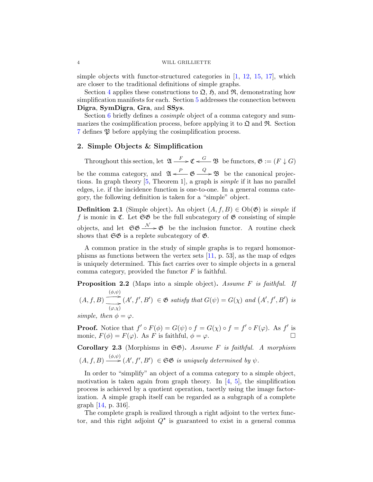#### <span id="page-3-0"></span>4 WILL GRILLIETTE

simple objects with functor-structured categories in  $[1, 12, 15, 17]$  $[1, 12, 15, 17]$  $[1, 12, 15, 17]$  $[1, 12, 15, 17]$  $[1, 12, 15, 17]$  $[1, 12, 15, 17]$ , which are closer to the traditional definitions of simple graphs.

Section [4](#page-7-0) applies these constructions to  $\mathfrak{Q}, \mathfrak{H}$ , and  $\mathfrak{R}$ , demonstrating how simplification manifests for each. Section [5](#page-11-0) addresses the connection between Digra, SymDigra, Gra, and SSys.

Section [6](#page-13-0) briefly defines a *cosimple* object of a comma category and summarizes the cosimplification process, before applying it to  $\mathfrak{Q}$  and  $\mathfrak{R}$ . Section [7](#page-16-0) defines P before applying the cosimplification process.

## 2. Simple Objects & Simplification

Throughout this section, let  $\mathfrak{A} \xrightarrow{F} \mathfrak{C} \xleftarrow{G} \mathfrak{B}$  be functors,  $\mathfrak{G} := (F \downarrow G)$ be the comma category, and  $\mathfrak{A} \leftarrow P$   $\mathfrak{G} \leftarrow Q \rightarrow \mathfrak{B}$  be the canonical projections. In graph theory [\[5,](#page-18-0) Theorem 1], a graph is simple if it has no parallel edges, i.e. if the incidence function is one-to-one. In a general comma category, the following definition is taken for a "simple" object.

**Definition 2.1** (Simple object). An object  $(A, f, B) \in Ob(\mathfrak{G})$  is *simple* if f is monic in  $\mathfrak{C}$ . Let  $\mathfrak{S} \mathfrak{G}$  be the full subcategory of  $\mathfrak{G}$  consisting of simple objects, and let  $\mathfrak{SG} \longrightarrow \mathfrak{G}$  be the inclusion functor. A routine check shows that  $\mathfrak{S}\mathfrak{G}$  is a replete subcategory of  $\mathfrak{G}$ .

A common pratice in the study of simple graphs is to regard homomorphisms as functions between the vertex sets [\[11,](#page-18-0) p. 53], as the map of edges is uniquely determined. This fact carries over to simple objects in a general comma category, provided the functor  $F$  is faithful.

**Proposition 2.2** (Maps into a simple object). Assume F is faithful. If  $\stackrel{(\phi,\psi)}{\longrightarrow}$ 

 $(A, f, B)$  $(A', f', B') \in \mathfrak{G}$  satisfy that  $G(\psi) = G(\chi)$  and  $(A', f', B')$  is  $(\varphi, \chi)$ 

simple, then  $\phi = \varphi$ .

**Proof.** Notice that  $f' \circ F(\phi) = G(\psi) \circ f = G(\chi) \circ f = f' \circ F(\varphi)$ . As  $f'$  is monic,  $F(\phi) = F(\varphi)$ . As F is faithful,  $\phi = \varphi$ .

Corollary 2.3 (Morphisms in  $\mathfrak{S}\mathfrak{G}$ ). Assume F is faithful. A morphism  $(A, f, B) \xrightarrow{(\phi, \psi)} (A', f', B') \in \mathfrak{SS}$  is uniquely determined by  $\psi$ .

In order to "simplify" an object of a comma category to a simple object, motivation is taken again from graph theory. In  $[4, 5]$  $[4, 5]$ , the simplification process is achieved by a quotient operation, tacetly using the image factorization. A simple graph itself can be regarded as a subgraph of a complete graph [\[14,](#page-18-0) p. 316].

The complete graph is realized through a right adjoint to the vertex functor, and this right adjoint  $Q^*$  is guaranteed to exist in a general comma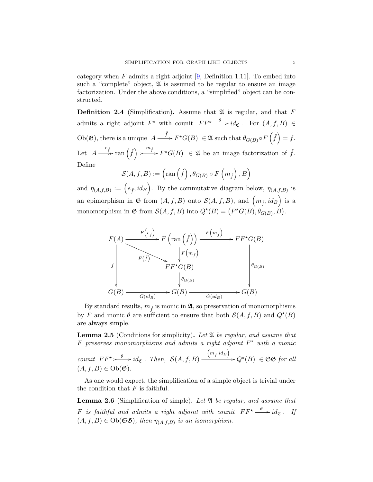<span id="page-4-0"></span>category when  $F$  admits a right adjoint  $[9,$  Definition 1.11. To embed into such a "complete" object,  $\mathfrak A$  is assumed to be regular to ensure an image factorization. Under the above conditions, a "simplified" object can be constructed.

**Definition 2.4** (Simplification). Assume that  $\mathfrak{A}$  is regular, and that F admits a right adjoint  $F^*$  with counit  $FF^* \xrightarrow{\theta} id_{\mathfrak{C}}$ . For  $(A, f, B) \in$  $Ob(\mathfrak{G})$ , there is a unique  $A \longrightarrow^{\hat{f}} F^{\star}G(B) \in \mathfrak{A}$  such that  $\theta_{G(B)} \circ F(\hat{f}) = f$ . Let  $A \stackrel{e_f}{\longrightarrow} \text{ran}(\hat{f})$  $\stackrel{m_f}{\longrightarrow} F^{\star}G(B) \in \mathfrak{A}$  be an image factorization of  $\hat{f}$ . Define

$$
\mathcal{S}(A, f, B) := \left( \text{ran} \left( \hat{f} \right), \theta_{G(B)} \circ F \left( m_{\hat{f}} \right), B \right)
$$

and  $\eta_{(A,f,B)} := (e_{\hat{f}}, id_B)$ . By the commutative diagram below,  $\eta_{(A,f,B)}$  is an epimorphism in  $\mathfrak G$  from  $(A, f, B)$  onto  $\mathcal S(A, f, B)$ , and  $\left(m_{\hat f}, id_B\right)$  is a monomorphism in  $\mathfrak{G}$  from  $\mathcal{S}(A, f, B)$  into  $Q^*(B) = (F^*G(B), \theta_{G(B)}, B)$ .



By standard results,  $m_{\hat{f}}$  is monic in  $\mathfrak{A}$ , so preservation of monomorphisms by F and monic  $\theta$  are sufficient to ensure that both  $\mathcal{S}(A, f, B)$  and  $Q^*(B)$ are always simple.

**Lemma 2.5** (Conditions for simplicity). Let  $\mathfrak{A}$  be regular, and assume that F preserves monomorphisms and admits a right adjoint  $F^*$  with a monic

counit  $FF^* \longrightarrow id_{\mathfrak{C}}$ . Then,  $\mathcal{S}(A, f, B)$  $\left(m_{\hat{f}}, id_B\right)$  $Q^{\star}(B) \in \mathfrak{SS}$  for all  $(A, f, B) \in Ob(\mathfrak{G}).$ 

As one would expect, the simplification of a simple object is trivial under the condition that  $F$  is faithful.

Lemma 2.6 (Simplification of simple). Let  $\mathfrak A$  be regular, and assume that F is faithful and admits a right adjoint with counit  $FF^* \xrightarrow{\theta} id_{\mathfrak{C}}$ . If  $(A, f, B) \in Ob(\mathfrak{S}\mathfrak{G})$ , then  $\eta_{(A, f, B)}$  is an isomorphism.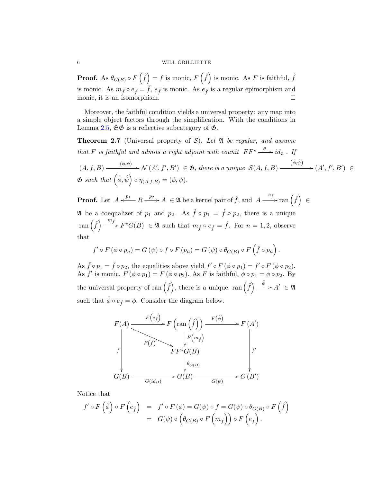#### 6 WILL GRILLIETTE

**Proof.** As  $\theta_{G(B)} \circ F(\hat{f}) = f$  is monic,  $F(\hat{f})$  is monic. As F is faithful,  $\hat{f}$ is monic. As  $m_{\hat{f}} \circ e_{\hat{f}} = \hat{f}, e_{\hat{f}}$  is monic. As  $e_{\hat{f}}$  is a regular epimorphism and monic, it is an isomorphism.

Moreover, the faithful condition yields a universal property: any map into a simple object factors through the simplification. With the conditions in Lemma [2.5,](#page-4-0)  $\mathfrak{S}\mathfrak{G}$  is a reflective subcategory of  $\mathfrak{G}$ .

**Theorem 2.7** (Universal property of S). Let  $\mathfrak{A}$  be regular, and assume that F is faithful and admits a right adjoint with counit  $FF^* \xrightarrow{\theta} id_{\mathfrak{C}}$ . If

$$
(A, f, B) \xrightarrow{(\phi, \psi)} \mathcal{N}(A', f', B') \in \mathfrak{G}, \text{ there is a unique } \mathcal{S}(A, f, B) \xrightarrow{(\hat{\phi}, \hat{\psi})} (A', f', B') \in \mathfrak{G} \text{ such that } (\hat{\phi}, \hat{\psi}) \circ \eta_{(A, f, B)} = (\phi, \psi).
$$

**Proof.** Let  $A \xleftarrow{p_1} R \xrightarrow{p_2} A \in \mathfrak{A}$  be a kernel pair of  $\hat{f}$ , and  $A \xrightarrow{e_{\hat{f}}} \text{ran}(\hat{f}) \in$ 24 be a coequalizer of  $p_1$  and  $p_2$ . As  $\hat{f} \circ p_1 = \hat{f} \circ p_2$ , there is a unique ran  $(\hat{f}) \xrightarrow{m_{\hat{f}}} F^{\star}G(B) \in \mathfrak{A}$  such that  $m_{\hat{f}} \circ e_{\hat{f}} = \hat{f}$ . For  $n = 1, 2$ , observe that

$$
f' \circ F (\phi \circ p_n) = G (\psi) \circ f \circ F (p_n) = G (\psi) \circ \theta_{G(B)} \circ F (\hat{f} \circ p_n).
$$

As  $\hat{f} \circ p_1 = \hat{f} \circ p_2$ , the equalities above yield  $f' \circ F (\phi \circ p_1) = f' \circ F (\phi \circ p_2)$ . As f' is monic,  $F(\phi \circ p_1) = F(\phi \circ p_2)$ . As F is faithful,  $\phi \circ p_1 = \phi \circ p_2$ . By the universal property of ran  $(\hat{f})$ , there is a unique ran  $(\hat{f}) \stackrel{\hat{\phi}}{\longrightarrow} A' \in \mathfrak{A}$ such that  $\hat{\phi} \circ e_{\hat{f}} = \phi$ . Consider the diagram below.



Notice that

$$
f' \circ F(\hat{\phi}) \circ F(e_{\hat{f}}) = f' \circ F(\phi) = G(\psi) \circ f = G(\psi) \circ \theta_{G(B)} \circ F(\hat{f})
$$
  
= 
$$
G(\psi) \circ (\theta_{G(B)} \circ F(m_{\hat{f}})) \circ F(e_{\hat{f}}).
$$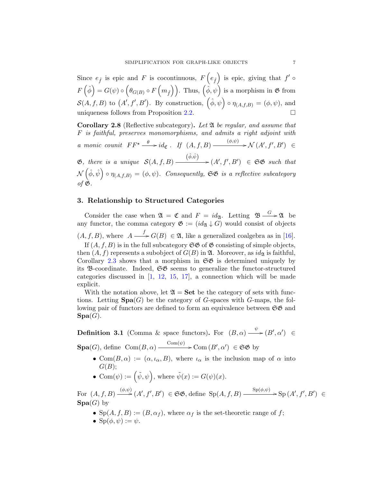<span id="page-6-0"></span>Since  $e_{\hat{f}}$  is epic and F is cocontinuous,  $F(e_{\hat{f}})$  is epic, giving that  $f' \circ$  $F\left(\hat{\phi}\right) = G(\psi) \circ \left(\theta_{G(B)} \circ F\left(m_{\hat{f}}\right)\right)$ . Thus,  $\left(\hat{\phi}, \psi\right)$  is a morphism in  $\mathfrak G$  from  $S(A, f, B)$  to  $(A', f', B')$ . By construction,  $(\hat{\phi}, \psi) \circ \eta_{(A,f,B)} = (\phi, \psi)$ , and uniqueness follows from Proposition [2.2.](#page-3-0)

**Corollary 2.8** (Reflective subcategory). Let  $\mathfrak{A}$  be regular, and assume that F is faithful, preserves monomorphisms, and admits a right adjoint with a monic counit  $FF^* \xrightarrow{\theta} id_{\mathfrak{C}}$ . If  $(A, f, B) \xrightarrow{(\phi,\psi)} \mathcal{N}(A', f', B') \in$  $\mathfrak{G},$  there is a unique  $\mathcal{S}(A, f, B)$  $\stackrel{(\hat{\phi}, \hat{\psi})}{\longrightarrow} (A', f', B') \in \mathfrak{GS}$  such that  $\mathcal{N}(\hat{\phi}, \hat{\psi}) \circ \eta_{(A,f,B)} = (\phi, \psi)$ . Consequently,  $\mathfrak{S} \mathfrak{G}$  is a reflective subcategory of  $\mathfrak{G}$ .

### 3. Relationship to Structured Categories

Consider the case when  $\mathfrak{A} = \mathfrak{C}$  and  $F = id_{\mathfrak{A}}$ . Letting  $\mathfrak{B} \xrightarrow{G} \mathfrak{A}$  be any functor, the comma category  $\mathfrak{G} := (id_{\mathfrak{A}} \downarrow G)$  would consist of objects  $(A, f, B)$ , where  $A \longrightarrow G(B) \in \mathfrak{A}$ , like a generalized coalgebra as in [\[16\]](#page-18-0). If  $(A, f, B)$  is in the full subcategory  $\mathfrak{S} \mathfrak{G}$  of  $\mathfrak{G}$  consisting of simple objects,

then  $(A, f)$  represents a subobject of  $G(B)$  in  $\mathfrak{A}$ . Moreover, as  $id_{\mathfrak{A}}$  is faithful, Corollary [2.3](#page-3-0) shows that a morphism in  $\mathfrak{S} \mathfrak{G}$  is determined uniquely by its  $\mathfrak{B}\text{-coordinate}$ . Indeed,  $\mathfrak{S}\mathfrak{G}$  seems to generalize the functor-structured categories discussed in  $[1, 12, 15, 17]$  $[1, 12, 15, 17]$  $[1, 12, 15, 17]$  $[1, 12, 15, 17]$  $[1, 12, 15, 17]$  $[1, 12, 15, 17]$ , a connection which will be made explicit.

With the notation above, let  $\mathfrak{A} = \mathbf{Set}$  be the category of sets with functions. Letting  $\text{Spa}(G)$  be the category of G-spaces with G-maps, the following pair of functors are defined to form an equivalence between  $\mathfrak{S} \mathfrak{G}$  and  $\textbf{Spa}(G)$ .

**Definition 3.1** (Comma & space functors). For  $(B, \alpha) \xrightarrow{\psi} (B', \alpha') \in$  $\text{Spa}(G)$ , define  $\text{Com}(B,\alpha) \xrightarrow{\text{Com}(\psi)} \text{Com}(B',\alpha') \in \mathfrak{S} \mathfrak{G}$  by

- Com $(B, \alpha) := (\alpha, \iota_{\alpha}, B)$ , where  $\iota_{\alpha}$  is the inclusion map of  $\alpha$  into  $G(B);$
- Com $(\psi) := (\tilde{\psi}, \psi)$ , where  $\tilde{\psi}(x) := G(\psi)(x)$ .

For  $(A, f, B) \xrightarrow{(\phi, \psi)} (A', f', B') \in \mathfrak{SS}$ , define  $Sp(A, f, B) \xrightarrow{Sp(\phi, \psi)} Sp(A', f', B') \in$  $\textbf{Spa}(G)$  by

- $Sp(A, f, B) := (B, \alpha_f)$ , where  $\alpha_f$  is the set-theoretic range of f;
- $\text{Sp}(\phi, \psi) := \psi$ .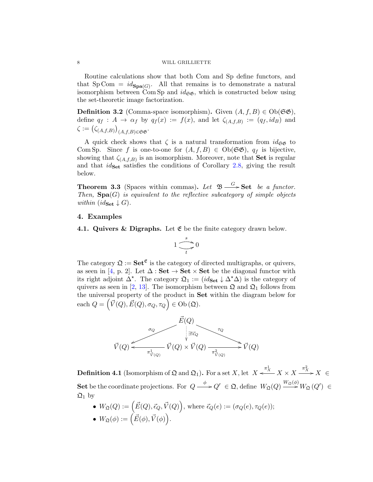#### <span id="page-7-0"></span>8 WILL GRILLIETTE

Routine calculations show that both Com and Sp define functors, and that  $Sp Com = id_{Spa(G)}$ . All that remains is to demonstrate a natural isomorphism between Com Sp and  $id_{\mathfrak{S}\mathfrak{G}}$ , which is constructed below using the set-theoretic image factorization.

**Definition 3.2** (Comma-space isomorphism). Given  $(A, f, B) \in Ob(\mathfrak{GS})$ , define  $q_f: A \to \alpha_f$  by  $q_f(x) := f(x)$ , and let  $\zeta_{(A,f,B)} := (q_f, id_B)$  and  $\zeta:=\big(\zeta_{(A,f,B)}\big)_{(A,f,B)\in\mathfrak{S}\mathfrak{G}}.$ 

A quick check shows that  $\zeta$  is a natural transformation from  $id_{\mathfrak{S} \mathfrak{G}}$  to Com Sp. Since f is one-to-one for  $(A, f, B) \in Ob(\mathfrak{GS})$ ,  $q_f$  is bijective, showing that  $\zeta_{(A,f,B)}$  is an isomorphism. Moreover, note that **Set** is regular and that  $id_{\mathbf{Set}}$  satisfies the conditions of Corollary [2.8,](#page-6-0) giving the result below.

**Theorem 3.3** (Spaces within commas). Let  $\mathfrak{B} \xrightarrow{G} \mathbf{Set}$  be a functor. Then,  $Spa(G)$  is equivalent to the reflective subcategory of simple objects within  $(id_{\textbf{Set}} \downarrow G)$ .

#### 4. Examples

4.1. Quivers & Digraphs. Let  $\mathfrak E$  be the finite category drawn below.

$$
1\frac{s}{\sqrt{t}}\to 0
$$

The category  $\mathfrak{Q} := \mathbf{Set}^{\mathfrak{E}}$  is the category of directed multigraphs, or quivers, as seen in [\[4,](#page-18-0) p. 2]. Let  $\Delta : \mathbf{Set} \to \mathbf{Set} \times \mathbf{Set}$  be the diagonal functor with its right adjoint  $\Delta^*$ . The category  $\mathfrak{Q}_1 := (id_{\mathbf{Set}} \downarrow \Delta^* \Delta)$  is the category of quivers as seen in [\[2,](#page-17-0) [13\]](#page-18-0). The isomorphism between  $\mathfrak{Q}$  and  $\mathfrak{Q}_1$  follows from the universal property of the product in Set within the diagram below for each  $Q = (\vec{V}(Q), \vec{E}(Q), \sigma_Q, \tau_Q) \in Ob\,(\mathfrak{Q}).$ 



 $\textbf{Definition 4.1} \text{ (Isomorphism of } \mathfrak{Q} \text{ and } \mathfrak{Q}_1 \text{). For a set } X, \text{let } X \xleftarrow{\pi_X^1} X \times X \xrightarrow{\pi_X^2} X \in$ Set be the coordinate projections. For  $Q \longrightarrow Q' \in \mathfrak{Q}$ , define  $W_{\mathfrak{Q}}(Q) \longrightarrow W_{\mathfrak{Q}}(Q') \in$  $\mathfrak{Q}_1$  by

•  $W_{\mathfrak{Q}}(Q) := \left( \vec{E}(Q), \vec{\epsilon}_Q, \vec{V}(Q) \right)$ , where  $\vec{\epsilon}_Q(e) := (\sigma_Q(e), \tau_Q(e));$ 

• 
$$
W_{\mathfrak{Q}}(\phi) := (\vec{E}(\phi), \vec{V}(\phi)).
$$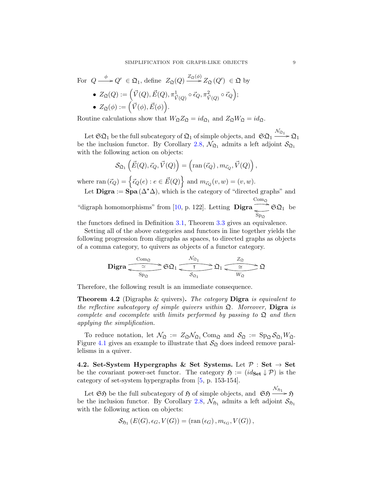<span id="page-8-0"></span>For 
$$
Q \xrightarrow{\phi} Q' \in \mathfrak{Q}_1
$$
, define  $Z_{\mathfrak{Q}}(Q) \xrightarrow{Z_{\mathfrak{Q}}(\phi)} Z_{\mathfrak{Q}}(Q') \in \mathfrak{Q}$  by  
\n•  $Z_{\mathfrak{Q}}(Q) := (\vec{V}(Q), \vec{E}(Q), \pi^1_{\vec{V}(Q)} \circ \vec{\epsilon}_Q, \pi^2_{\vec{V}(Q)} \circ \vec{\epsilon}_Q);$   
\n•  $Z_{\mathfrak{Q}}(\phi) := (\vec{V}(\phi), \vec{E}(\phi)).$ 

Routine calculations show that  $W_{\mathfrak{Q}}Z_{\mathfrak{Q}} = id_{\mathfrak{Q}_1}$  and  $Z_{\mathfrak{Q}}W_{\mathfrak{Q}} = id_{\mathfrak{Q}}$ .

Let  $\mathfrak{SQ}_1$  be the full subcategory of  $\mathfrak{Q}_1$  of simple objects, and  $\mathfrak{SQ}_1 \xrightarrow{\mathcal{N}_{\Omega_1}} \mathfrak{Q}_1$ be the inclusion functor. By Corollary [2.8,](#page-6-0)  $\mathcal{N}_{\Omega_1}$  admits a left adjoint  $\mathcal{S}_{\Omega_1}$ with the following action on objects:

$$
\mathcal{S}_{\mathfrak{Q}_1}\left(\vec{E}(Q), \vec{\epsilon}_Q, \vec{V}(Q)\right) = \left(\operatorname{ran}\left(\vec{\epsilon}_Q\right), m_{\vec{\epsilon}_Q}, \vec{V}(Q)\right),\,
$$

where  $\text{ran}(\vec{\epsilon}_Q) = \left\{ \vec{\epsilon}_Q(e) : e \in \vec{E}(Q) \right\}$  and  $m_{\vec{\epsilon}_Q}(v, w) = (v, w)$ .

Let **Digra** :=  $\text{Spa}(\Delta^*\Delta)$ , which is the category of "directed graphs" and "digraph homomorphisms" from  $[10, p. 122]$ . Letting **Digra**  $\overset{\text{Com}_{\mathfrak{Q}}}{\longrightarrow} \mathfrak{S} \mathfrak{Q}_1$  $\overline{\mathcal{S}_{P_{\Omega}}}$   $\mathfrak{S}\Omega_1$  be

the functors defined in Definition [3.1,](#page-6-0) Theorem [3.3](#page-7-0) gives an equivalence.

Setting all of the above categories and functors in line together yields the following progression from digraphs as spaces, to directed graphs as objects of a comma category, to quivers as objects of a functor category.

$$
\mathbf{Digra} \xrightarrow{\text{Com}_\Omega} \text{SO}_1 \xrightarrow{\text{N}_{\Omega_1}} \text{O}_1 \xrightarrow{\text{Z}_{\Omega}} \text{O}_2
$$

Therefore, the following result is an immediate consequence.

**Theorem 4.2** (Digraphs & quivers). The category **Digra** is equivalent to the reflective subcategory of simple quivers within  $\mathfrak{Q}$ . Moreover, **Digra** is complete and cocomplete with limits performed by passing to  $\mathfrak{Q}$  and then applying the simplification.

To reduce notation, let  $\mathcal{N}_{\mathfrak{Q}} := Z_{\mathfrak{Q}} \mathcal{N}_{\mathfrak{Q}_1}$  Com<sub> $\mathfrak{Q}$ </sub> and  $\mathcal{S}_{\mathfrak{Q}} := \mathrm{Sp}_{\mathfrak{Q}} \mathcal{S}_{\mathfrak{Q}_1} W_{\mathfrak{Q}}$ . Figure 4.1 gives an example to illustrate that  $\mathcal{S}_{\mathfrak{Q}}$  does indeed remove parallelisms in a quiver.

4.2. Set-System Hypergraphs & Set Systems. Let  $P : Set \rightarrow Set$ be the covariant power-set functor. The category  $\mathfrak{H} := (id_{\mathbf{Set}} \downarrow \mathcal{P})$  is the category of set-system hypergraphs from [\[5,](#page-18-0) p. 153-154].

Let  $\mathfrak{S} \mathfrak{H}$  be the full subcategory of  $\mathfrak{H}$  of simple objects, and  $\mathfrak{S} \mathfrak{H} \xrightarrow{\mathcal{N}_{\mathfrak{H}_1}} \mathfrak{H}$ be the inclusion functor. By Corollary [2.8,](#page-6-0)  $\mathcal{N}_{51}$  admits a left adjoint  $\mathcal{S}_{51}$ with the following action on objects:

$$
\mathcal{S}_{\mathfrak{H}_1}(E(G), \epsilon_G, V(G)) = \left(\text{ran}(\epsilon_G), m_{\epsilon_G}, V(G)\right),
$$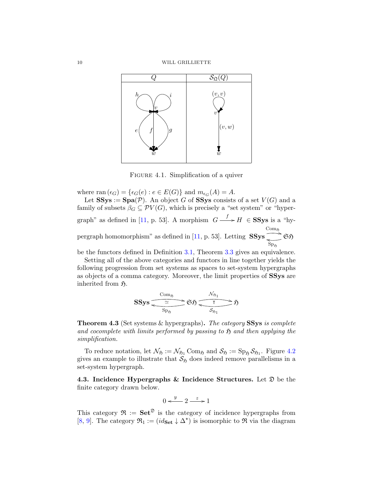<span id="page-9-0"></span>

Figure 4.1. Simplification of a quiver

where ran  $(\epsilon_G) = {\epsilon_G(e) : e \in E(G)}$  and  $m_{\epsilon_G}(A) = A$ .

Let  $SSys := Spa(\mathcal{P})$ . An object G of SSys consists of a set  $V(G)$  and a family of subsets  $\beta_G \subseteq \mathcal{PV}(G)$ , which is precisely a "set system" or "hyper-graph" as defined in [\[11,](#page-18-0) p. 53]. A morphism  $G \xrightarrow{f} H \in SSys$  is a "hypergraph homomorphism" as defined in  $[11, p. 53]$ . Letting  $SSys$  $\mathrm{Com}_{\mathfrak{H}}$  $\leftarrow$   $\mathfrak{S}_{\mathfrak{H}}$  $_{\mathrm{Sp}_{\mathfrak{H}}}$ 

be the functors defined in Definition [3.1,](#page-6-0) Theorem [3.3](#page-7-0) gives an equivalence.

Setting all of the above categories and functors in line together yields the following progression from set systems as spaces to set-system hypergraphs as objects of a comma category. Moreover, the limit properties of SSys are inherited from  $\mathfrak{H}$ .

$$
\text{SSys} \xrightarrow{\text{Com}_{\mathfrak{H}}}\text{CSy} \xrightarrow{\mathcal{N}_{\mathfrak{H}_1}} \mathfrak{H}
$$

**Theorem 4.3** (Set systems & hypergraphs). The category SSys is complete and cocomplete with limits performed by passing to  $\mathfrak H$  and then applying the simplification.

To reduce notation, let  $\mathcal{N}_{\mathfrak{H}} := \mathcal{N}_{\mathfrak{H}_1}$  Com<sub> $\mathfrak{H}$ </sub> and  $\mathcal{S}_{\mathfrak{H}} := \text{Sp}_{\mathfrak{H}} \mathcal{S}_{\mathfrak{H}_1}$ . Figure [4.2](#page-10-0) gives an example to illustrate that  $S_{\mathfrak{H}}$  does indeed remove parallelisms in a set-system hypergraph.

4.3. Incidence Hypergraphs & Incidence Structures. Let  $\mathfrak D$  be the finite category drawn below.

$$
0 \xleftarrow{y} 2 \xrightarrow{z} 1
$$

This category  $\mathfrak{R} := \mathbf{Set}^{\mathfrak{D}}$  is the category of incidence hypergraphs from [\[8,](#page-18-0) [9\]](#page-18-0). The category  $\mathfrak{R}_1 := (id_{\mathbf{Set}} \downarrow \Delta^*)$  is isomorphic to  $\mathfrak{R}$  via the diagram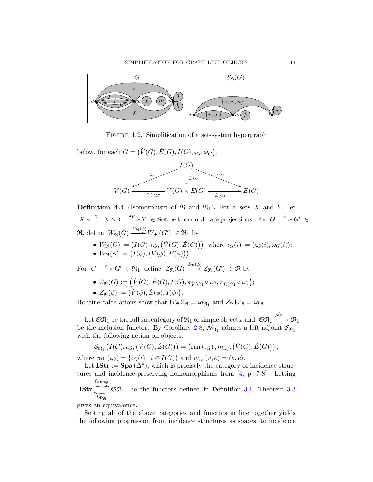<span id="page-10-0"></span>

FIGURE 4.2. Simplification of a set-system hypergraph

below, for each  $G = (\check{V}(G), \check{E}(G), I(G), \varsigma_G, \omega_G)$ .



**Definition 4.4** (Isomorphism of  $\Re$  and  $\Re_1$ ). For a sets X and Y, let  $X \xleftarrow{\pi_X} X \times Y \xrightarrow{\pi_Y} Y \in \mathbf{Set}$  be the coordinate projections. For  $G \xrightarrow{\phi} G' \in$  $\mathfrak{R},$  define  $W_{\mathfrak{R}}(G) \xrightarrow{W_{\mathfrak{R}}(\phi)} W_{\mathfrak{R}}(G') \in \mathfrak{R}_1$  by

- $W_{\mathfrak{R}}(G) := (I(G), \iota_G, (\check{V}(G), \check{E}(G))),$  where  $\iota_G(i) := (s_G(i), \omega_G(i));$
- $W_{\mathfrak{R}}(\phi) := (I(\phi), (\check{V}(\phi), \check{E}(\phi))).$

For  $G \longrightarrow G' \in \mathfrak{R}_1$ , define  $Z_{\mathfrak{R}}(G) \longrightarrow Z_{\mathfrak{R}}(\phi) Z_{\mathfrak{R}}(G') \in \mathfrak{R}$  by

- $Z_{\Re}(G) := \Big(\check{V}(G), \check{E}(G), I(G), \pi_{\check{V}(G)} \circ \iota_G, \pi_{\check{E}(G)} \circ \iota_G\Big);$
- $Z_{\Re}(\phi) := (\check{V}(\phi), \check{E}(\phi), I(\phi)).$

Routine calculations show that  $W_{\mathfrak{R}}Z_{\mathfrak{R}} = id_{\mathfrak{R}_1}$  and  $Z_{\mathfrak{R}}W_{\mathfrak{R}} = id_{\mathfrak{R}}$ .

Let  $\mathfrak{SR}_1$  be the full subcategory of  $\mathfrak{R}_1$  of simple objects, and  $\mathfrak{SR}_1 \xrightarrow{\mathcal{N}_{\mathfrak{R}_1}} \mathfrak{R}_1$ be the inclusion functor. By Corollary [2.8,](#page-6-0)  $\mathcal{N}_{\Re_1}$  admits a left adjoint  $\mathcal{S}_{\Re_1}$ with the following action on objects:

$$
\mathcal{S}_{\Re_1}\left(I(G),\iota_G,\left(\check{V}(G),\check{E}(G)\right)\right)=\left(\operatorname{ran}\left(\iota_G\right),m_{\iota_G},\left(\check{V}(G),\check{E}(G)\right)\right),
$$

where  $\text{ran}(\iota_G) = {\iota_G(i) : i \in I(G)}$  and  $m_{\iota_G}(v, e) = (v, e)$ .

Let  $\text{IStr} := \text{Spa}(\Delta^*)$ , which is precisely the category of incidence structures and incidence-preserving homomorphisms from [\[4,](#page-18-0) p. 7-8]. Letting

IStr Com<sup>R</sup> , SR<sup>1</sup>  $_{\mathrm{Sp}_{\mathfrak{R}}}$  $\epsilon$   $\mathfrak{S} \mathfrak{R}_1$  be the functors defined in Definition [3.1,](#page-6-0) Theorem [3.3](#page-7-0)

gives an equivalence.

Setting all of the above categories and functors in line together yields the following progression from incidence structures as spaces, to incidence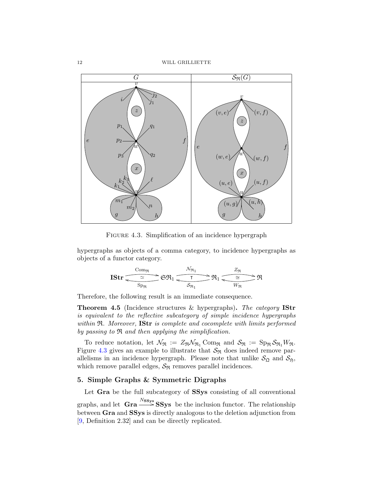<span id="page-11-0"></span>12 WILL GRILLIETTE



FIGURE 4.3. Simplification of an incidence hypergraph

hypergraphs as objects of a comma category, to incidence hypergraphs as objects of a functor category.

$$
\operatorname{IStr} \underbrace{\overbrace{\sim \simeq \qquad}_{\mathrm{Sp}_{\mathfrak{R}}}}^{\mathrm{Com}_{\mathfrak{R}}} \mathfrak{S} \mathfrak{R}_1 \underbrace{\overbrace{\qquad \qquad}_{\mathrm{Sp}_{\mathfrak{R}}}}^{\mathrm{N}_{\mathfrak{R}_1}} \mathfrak{R}_1 \underbrace{\overbrace{\qquad \cong \qquad}_{\mathrm{W}_{\mathfrak{R}}}}^{\mathrm{Z}_{\mathfrak{R}}} \mathfrak{R}
$$

Therefore, the following result is an immediate consequence.

Theorem 4.5 (Incidence structures & hypergraphs). The category IStr is equivalent to the reflective subcategory of simple incidence hypergraphs within  $\Re$ . Moreover, IStr is complete and cocomplete with limits performed by passing to R and then applying the simplification.

To reduce notation, let  $\mathcal{N}_{\mathfrak{R}} := Z_{\mathfrak{R}} \mathcal{N}_{\mathfrak{R}_1}$  Com<sub>R</sub> and  $\mathcal{S}_{\mathfrak{R}} := \text{Sp}_{\mathfrak{R}} \mathcal{S}_{\mathfrak{R}_1} W_{\mathfrak{R}}$ . Figure 4.3 gives an example to illustrate that  $\mathcal{S}_{\Re}$  does indeed remove parallelisms in an incidence hypergraph. Please note that unlike  $S_{\mathfrak{Q}}$  and  $S_{\mathfrak{H}}$ , which remove parallel edges,  $S_{\Re}$  removes parallel incidences.

## 5. Simple Graphs & Symmetric Digraphs

Let Gra be the full subcategory of SSys consisting of all conventional graphs, and let  $\text{Gra} \xrightarrow{N_{\text{SSys}}} \text{SSys}$  be the inclusion functor. The relationship between Gra and SSys is directly analogous to the deletion adjunction from [\[9,](#page-18-0) Definition 2.32] and can be directly replicated.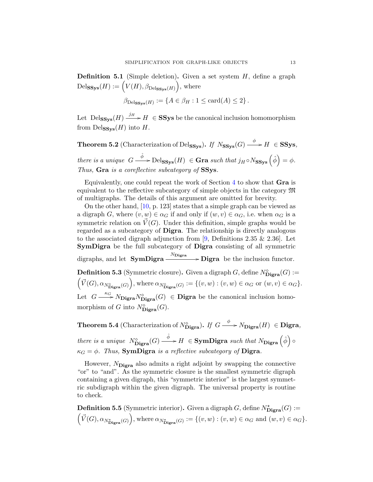**Definition 5.1** (Simple deletion). Given a set system  $H$ , define a graph  $\text{Del}_{\mathbf{SSys}}(H) := \Big(V(H), \beta_{\text{Del}_{\mathbf{SSys}}(H)}\Big), \text{ where }$ 

$$
\beta_{\mathrm{Delss}_{\mathbf{y}\mathbf{s}}(H)} := \{ A \in \beta_H : 1 \le \mathrm{card}(A) \le 2 \}.
$$

Let  $\text{Delss}_{\text{sys}}(H) \xrightarrow{j_H} H \in \text{SSys}$  be the canonical inclusion homomorphism from  $\text{Delss}_{ss}(H)$  into H.

**Theorem 5.2** (Characterization of Del<sub>SSys</sub>). If  $N_{SSys}(G) \longrightarrow H \in SSys$ , there is a unique  $G \stackrel{\hat{\phi}}{\longrightarrow} \text{Delss}_{\text{SSys}}(H) \in \text{Gra such that } j_H \circ N_{\text{SSys}}(\hat{\phi}) = \phi.$ Thus, Gra is a coreflective subcategory of SSy.

Equivalently, one could repeat the work of Section [4](#page-7-0) to show that Gra is equivalent to the reflective subcategory of simple objects in the category M of multigraphs. The details of this argument are omitted for brevity.

On the other hand, [\[10,](#page-18-0) p. 123] states that a simple graph can be viewed as a digraph G, where  $(v, w) \in \alpha_G$  if and only if  $(w, v) \in \alpha_G$ , i.e. when  $\alpha_G$  is a symmetric relation on  $\vec{V}(G)$ . Under this definition, simple graphs would be regarded as a subcategory of Digra. The relationship is directly analogous to the associated digraph adjunction from [\[9,](#page-18-0) Definitions 2.35  $\&$  2.36]. Let SymDigra be the full subcategory of Digra consisting of all symmetric digraphs, and let  $\text{SymDigra} \xrightarrow{N_{\text{Digra}}} \text{Digra}$  be the inclusion functor. **Definition 5.3** (Symmetric closure). Given a digraph G, define  $N^{\diamond}_{\text{Digra}}(G) :=$  $\int_V \vec{V}(G), \alpha_{N^{\diamond}_{\textbf{Digra}}(G)}$ ), where  $\alpha_{N^{\diamond}_{\text{Digra}}(G)} := \{(v, w) : (v, w) \in \alpha_G \text{ or } (w, v) \in \alpha_G\}.$ Let  $G \longrightarrow^{\kappa_G} N_{\text{Digra}} N_{\text{Digra}}^{\diamond}(G) \in \text{Digra}$  be the canonical inclusion homomorphism of G into  $N^{\diamond}_{\text{Digra}}(G)$ .

**Theorem 5.4** (Characterization of  $N^{\diamond}_{\text{Digra}}$ ). If  $G \longrightarrow N_{\text{Digra}}(H) \in \text{Digra}$ , there is a unique  $N^{\diamond}_{\text{Digra}}(G) \stackrel{\hat{\phi}}{\longrightarrow} H \in \text{SymDigra}$  such that  $N_{\text{Digra}}(\hat{\phi}) \circ$  $\kappa_G = \phi$ . Thus, **SymDigra** is a reflective subcategory of **Digra**.

However,  $N_{\text{Digra}}$  also admits a right adjoint by swapping the connective "or" to "and". As the symmetric closure is the smallest symmetric digraph containing a given digraph, this "symmetric interior" is the largest symmetric subdigraph within the given digraph. The universal property is routine to check.

**Definition 5.5** (Symmetric interior). Given a digraph  $G$ , define  $N^{\star}_{\text{Digra}}(G) :=$  $\int_V \vec{V}(G), \alpha_{N_{\mathbf{Digra}}^{\star}(G)}$ ), where  $\alpha_{N_{\mathbf{Digra}}^{\star}(G)} := \{ (v, w) : (v, w) \in \alpha_G \text{ and } (w, v) \in \alpha_G \}.$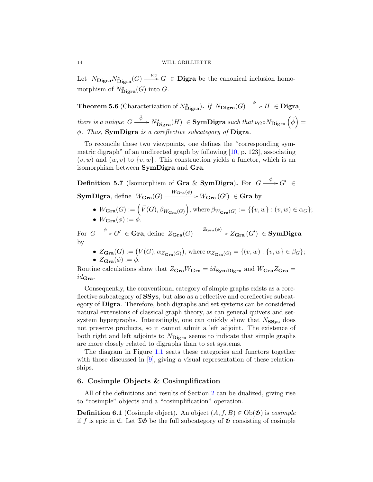<span id="page-13-0"></span>Let  $N_{\mathbf{Digra}}N_{\mathbf{Digra}}^*(G) \longrightarrow G \in \mathbf{Digra}$  be the canonical inclusion homomorphism of  $N^*_{\text{Digra}}(G)$  into G.

**Theorem 5.6** (Characterization of  $N^*_{\text{Digra}}$ ). If  $N_{\text{Digra}}(G) \longrightarrow H \in \text{Digra}$ , there is a unique  $G \stackrel{\tilde{\phi}}{\longrightarrow} N^*_{\text{Digra}}(H) \in \text{SymDigra}$  such that  $\nu_G \circ N_{\text{Digra}}(\tilde{\phi}) =$ φ. Thus, SymDigra is a coreflective subcategory of Digra.

To reconcile these two viewpoints, one defines the "corresponding symmetric digraph" of an undirected graph by following  $[10, p. 123]$ , associating  $(v, w)$  and  $(w, v)$  to  $\{v, w\}$ . This construction yields a functor, which is an isomorphism between SymDigra and Gra.

**Definition 5.7** (Isomorphism of Gra & SymDigra). For  $G \xrightarrow{\phi} G' \in$ **SymDigra**, define  $W_{\mathbf{Gra}}(G) \xrightarrow{W_{\mathbf{Gra}}(\phi)} W_{\mathbf{Gra}}(G') \in \mathbf{Gra}$  by

•  $W_{\mathbf{Gra}}(G) := (\vec{V}(G), \beta_{W_{\mathbf{Gra}}(G)})$ , where  $\beta_{W_{\mathbf{Gra}}(G)} := \{ \{v, w\} : (v, w) \in \alpha_G \};$ •  $W_{\mathbf{Gra}}(\phi) := \phi.$ 

For  $G \stackrel{\phi}{\longrightarrow} G' \in \mathbf{Gra},$  define  $Z_{\mathbf{Gra}}(G) \stackrel{Z_{\mathbf{Gra}}(\phi)}{\longrightarrow} Z_{\mathbf{Gra}}(G') \in \mathbf{SymDigra}$ by

•  $Z_{\mathbf{Gra}}(G) := (V(G), \alpha_{Z_{\mathbf{Gra}}(G)})$ , where  $\alpha_{Z_{\mathbf{Gra}}(G)} = \{(v, w) : \{v, w\} \in \beta_G\};$ •  $Z_{\text{Gra}}(\phi) := \phi$ .

Routine calculations show that  $Z_{\text{Gra}}W_{\text{Gra}} = id_{\text{SymDigra}}$  and  $W_{\text{Gra}}Z_{\text{Gra}} =$  $id_{\mathbf{Gra}}$ .

Consequently, the conventional category of simple graphs exists as a coreflective subcategory of SSys, but also as a reflective and coreflective subcategory of Digra. Therefore, both digraphs and set systems can be considered natural extensions of classical graph theory, as can general quivers and setsystem hypergraphs. Interestingly, one can quickly show that  $N_{SSys}$  does not preserve products, so it cannot admit a left adjoint. The existence of both right and left adjoints to  $N_{\text{Digra}}$  seems to indicate that simple graphs are more closely related to digraphs than to set systems.

The diagram in Figure [1.1](#page-1-0) seats these categories and functors together with those discussed in  $[9]$ , giving a visual representation of these relationships.

# 6. Cosimple Objects & Cosimplification

All of the definitions and results of Section [2](#page-3-0) can be dualized, giving rise to "cosimple" objects and a "cosimplification" operation.

**Definition 6.1** (Cosimple object). An object  $(A, f, B) \in Ob(\mathfrak{G})$  is *cosimple* if f is epic in  $\mathfrak{C}$ . Let  $\mathfrak{TS}$  be the full subcategory of  $\mathfrak{G}$  consisting of cosimple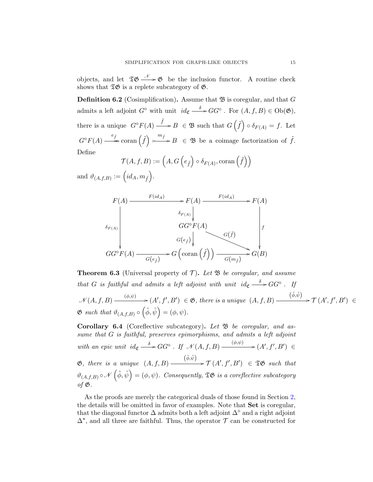<span id="page-14-0"></span>objects, and let  $\mathfrak{TS} \longrightarrow \mathfrak{G}$  be the inclusion functor. A routine check shows that  $\mathfrak{TS}$  is a replete subcategory of  $\mathfrak{G}$ .

**Definition 6.2** (Cosimplification). Assume that  $\mathfrak{B}$  is coregular, and that G admits a left adjoint  $G^{\diamond}$  with unit  $id_{\mathfrak{C}} \stackrel{\delta}{\longrightarrow} GG^{\diamond}$ . For  $(A, f, B) \in Ob(\mathfrak{G}),$ there is a unique  $G^{\diamond}F(A) \xrightarrow{\tilde{f}} B \in \mathfrak{B}$  such that  $G\left(\tilde{f}\right) \circ \delta_{F(A)} = f$ . Let  $G^{\diamond}F(A) \longrightarrow^{\hspace{0.5cm} e_{\tilde{f}}} \text{coran}(\tilde{f}) \succ^{\hspace{0.5cm}\mathbb{I}}$  $\stackrel{m_{\tilde{f}}}{\longrightarrow} B \in \mathfrak{B}$  be a coimage factorization of  $\tilde{f}$ . Define

$$
\mathcal{T}(A, f, B) := \left(A, G\left(e_{\tilde{f}}\right) \circ \delta_{F(A)}, \text{coran}\left(\tilde{f}\right)\right)
$$

and  $\vartheta_{(A,f,B)} := (id_A, m_{\tilde{f}}).$ 

$$
F(A) \longrightarrow F(id_A) \longrightarrow F(A) \longrightarrow F(id_A) \longrightarrow F(A)
$$
\n
$$
\delta_{F(A)} \downarrow \qquad \qquad GG^{\circ}F(A) \downarrow \qquad \qquad \downarrow
$$
\n
$$
GG^{\circ}F(A) \longrightarrow G(e_{\tilde{f}}) \downarrow \qquad \qquad G(\tilde{f}) \downarrow \qquad \qquad \downarrow
$$
\n
$$
GG^{\circ}F(A) \longrightarrow G(e_{\tilde{f}}) \longrightarrow G(\text{coran}(\tilde{f})) \longrightarrow G(m_{\tilde{f}}) \longrightarrow G(B)
$$

**Theorem 6.3** (Universal property of  $\mathcal{T}$ ). Let  $\mathfrak{B}$  be coregular, and assume that G is faithful and admits a left adjoint with unit  $id_{\mathfrak{C}} \stackrel{\delta}{\longrightarrow} GG^{\circ}$ . If  $\mathcal{N}(A, f, B) \xrightarrow{(\phi, \psi)} (A', f', B') \in \mathfrak{G}$ , there is a unique  $(A, f, B)$  $\xrightarrow{(\tilde{\phi}, \tilde{\psi})} \mathcal{T}(A', f', B') \in$  $\mathfrak{G}$  such that  $\vartheta_{(A,f,B)} \circ (\tilde{\phi}, \tilde{\psi}) = (\phi, \psi)$ .

Corollary 6.4 (Coreflective subcategory). Let  $\mathfrak B$  be coregular, and assume that G is faithful, preserves epimorphisms, and admits a left adjoint with an epic unit id<sub>c</sub>  $\xrightarrow{\delta} GG^{\circ}$ . If  $\mathcal{N}(A, f, B) \xrightarrow{(\phi,\psi)} (A', f', B') \in$  $\mathfrak{G},$  there is a unique  $(A, f, B)$  $\stackrel{(\tilde{\phi}, \tilde{\psi})}{\longrightarrow} \mathcal{T}(A', f', B') \in \mathfrak{TS}$  such that  $\vartheta_{(A,f,B)} \circ \mathcal{N}(\tilde{\phi}, \tilde{\psi}) = (\phi, \psi)$ . Consequently,  $\mathfrak{TS}$  is a coreflective subcategory of  $\mathfrak{G}$ .

As the proofs are merely the categorical duals of those found in Section [2,](#page-3-0) the details will be omitted in favor of examples. Note that Set is coregular, that the diagonal functor  $\Delta$  admits both a left adjoint  $\Delta^{\diamond}$  and a right adjoint  $\Delta^*$ , and all three are faithful. Thus, the operator  $\mathcal T$  can be constructed for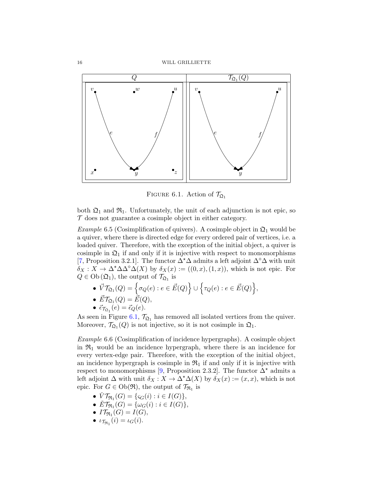16 WILL GRILLIETTE



FIGURE 6.1. Action of  $\mathcal{T}_{\mathfrak{Q}_1}$ 

both  $\mathfrak{Q}_1$  and  $\mathfrak{R}_1$ . Unfortunately, the unit of each adjunction is not epic, so  $\mathcal T$  does not guarantee a cosimple object in either category.

*Example* 6.5 (Cosimplification of quivers). A cosimple object in  $\mathfrak{Q}_1$  would be a quiver, where there is directed edge for every ordered pair of vertices, i.e. a loaded quiver. Therefore, with the exception of the initial object, a quiver is cosimple in  $\mathfrak{Q}_1$  if and only if it is injective with respect to monomorphisms [\[7,](#page-18-0) Proposition 3.2.1]. The functor  $\Delta^*\Delta$  admits a left adjoint  $\Delta^*\Delta$  with unit  $\delta_X: X \to \Delta^* \Delta \Delta^{\circ} \Delta(X)$  by  $\delta_X(x) := ((0, x), (1, x))$ , which is not epic. For  $Q \in Ob\left(\mathfrak{Q}_1\right)$ , the output of  $\mathcal{T}_{\mathfrak{Q}_1}$  is

- $\bullet \ \vec{V}\mathcal{T}_{\mathfrak{Q}_1}(Q) = \Big\{\sigma_Q(e) : e \in \vec{E}(Q) \Big\} \cup \Big\{\tau_Q(e) : e \in \vec{E}(Q) \Big\},$
- $\vec{E}\mathcal{T}_{\mathfrak{Q}_1}(Q) = \vec{E}(Q),$
- $\vec{\epsilon}_{\mathcal{T}_{\mathfrak{Q}}_1}(e) = \vec{\epsilon}_{Q}(e).$

As seen in Figure 6.1,  $\mathcal{T}_{\Omega_1}$  has removed all isolated vertices from the quiver. Moreover,  $\mathcal{T}_{\mathfrak{Q}_1}(Q)$  is not injective, so it is not cosimple in  $\mathfrak{Q}_1$ .

Example 6.6 (Cosimplification of incidence hypergraphs). A cosimple object in  $\mathfrak{R}_1$  would be an incidence hypergraph, where there is an incidence for every vertex-edge pair. Therefore, with the exception of the initial object, an incidence hypergraph is cosimple in  $\mathfrak{R}_1$  if and only if it is injective with respect to monomorphisms [\[9,](#page-18-0) Proposition 2.3.2]. The functor  $\Delta^*$  admits a left adjoint  $\Delta$  with unit  $\delta_X : X \to \Delta^* \Delta(X)$  by  $\delta_X(x) := (x, x)$ , which is not epic. For  $G \in Ob(\mathfrak{R})$ , the output of  $\mathcal{T}_{\mathfrak{R}_1}$  is

- $\check{V}\mathcal{T}_{\Re_1}(G) = \{ \varsigma_G(i) : i \in I(G) \},\$
- $\check{E}\mathcal{T}_{\Re_1}(G) = {\omega_G(i) : i \in I(G)},$
- $IT_{\Re_1}(G) = I(G),$
- $\iota_{\mathcal{T}_{\Re_1}}(i) = \iota_G(i).$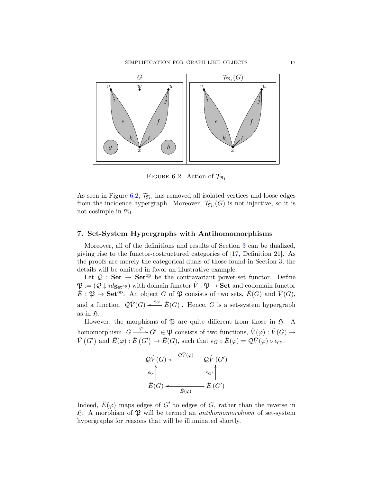<span id="page-16-0"></span>

FIGURE 6.2. Action of  $\mathcal{T}_{\Re_1}$ 

As seen in Figure 6.2,  $\mathcal{T}_{\Re_1}$  has removed all isolated vertices and loose edges from the incidence hypergraph. Moreover,  $\mathcal{T}_{\Re 1}(G)$  is not injective, so it is not cosimple in  $\mathfrak{R}_1$ .

#### 7. Set-System Hypergraphs with Antihomomorphisms

Moreover, all of the definitions and results of Section [3](#page-6-0) can be dualized, giving rise to the functor-costructured categories of [\[17,](#page-18-0) Definition 21]. As the proofs are merely the categorical duals of those found in Section [3,](#page-6-0) the details will be omitted in favor an illustrative example.

Let  $\mathcal{Q}:$  Set  $\rightarrow$  Set<sup>op</sup> be the contravariant power-set functor. Define  $\mathfrak{P} := (\mathcal{Q} \downarrow id_{\mathbf{Set}^{\mathrm{op}}})$  with domain functor  $\hat{V} : \mathfrak{P} \to \mathbf{Set}$  and codomain functor  $\hat{E}: \mathfrak{P} \to \mathbf{Set}^{\mathrm{op}}$ . An object G of  $\mathfrak{P}$  consists of two sets,  $\hat{E}(G)$  and  $\hat{V}(G)$ , and a function  $\mathcal{Q} \hat{V}(G) \leftarrow^{\epsilon_G} \hat{E}(G)$ . Hence, G is a set-system hypergraph as in  $\mathfrak{H}.$ 

However, the morphisms of  $\mathfrak P$  are quite different from those in  $\mathfrak H$ . A homomorphism  $G \longrightarrow G' \in \mathfrak{P}$  consists of two functions,  $\hat{V}(\varphi) : \hat{V}(G) \to$  $\hat{V}(G')$  and  $\hat{E}(\varphi) : \hat{E}(G') \to \hat{E}(G)$ , such that  $\epsilon_G \circ \hat{E}(\varphi) = \mathcal{Q}\hat{V}(\varphi) \circ \epsilon_{G'}$ .



Indeed,  $\hat{E}(\varphi)$  maps edges of  $G'$  to edges of G, rather than the reverse in  $\mathfrak{H}$ . A morphism of  $\mathfrak{P}$  will be termed an *antihomomorphism* of set-system hypergraphs for reasons that will be illuminated shortly.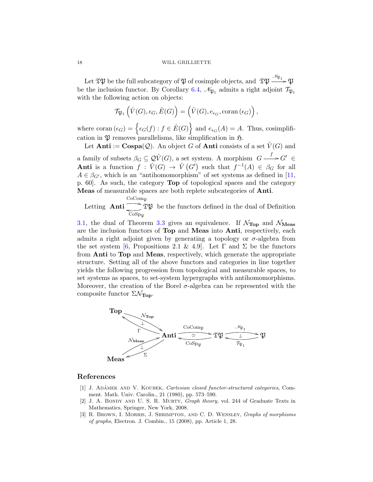<span id="page-17-0"></span>Let  $\mathfrak{TP}$  be the full subcategory of  $\mathfrak P$  of cosimple objects, and  $\mathfrak{TP} \xrightarrow{\mathscr N_{\mathfrak{P}_1}} \mathfrak P$ be the inclusion functor. By Corollary [6.4,](#page-14-0)  $\mathcal{N}_{\mathfrak{P}_1}$  admits a right adjoint  $\mathcal{T}_{\mathfrak{P}_1}$ with the following action on objects:

$$
\mathcal{T}_{\mathfrak{P}_1}\left(\hat{V}(G), \epsilon_G, \hat{E}(G)\right) = \left(\hat{V}(G), e_{\epsilon_G}, \text{coran}(\epsilon_G)\right),\,
$$

where coran  $(\epsilon_G) = \left\{ \epsilon_G(f) : f \in \hat{E}(G) \right\}$  and  $e_{\epsilon_G}(A) = A$ . Thus, cosimplification in  $\mathfrak P$  removes parallelisms, like simplification in  $\mathfrak H$ .

Let **Anti** :=  $\mathbf{Cospa}(\mathcal{Q})$ . An object G of **Anti** consists of a set  $\hat{V}(G)$  and a family of subsets  $\beta_G \subseteq \mathcal{Q} \hat{V}(G)$ , a set system. A morphism  $G \longrightarrow G' \in$ Anti is a function  $f: \hat{V}(G) \to \hat{V}(G')$  such that  $f^{-1}(A) \in \beta_G$  for all  $A \in \beta_{G'}$ , which is an "antihomomorphism" of set systems as defined in [\[11,](#page-18-0) p. 60]. As such, the category Top of topological spaces and the category Meas of measurable spaces are both replete subcategories of Anti.

Letting  $\text{Anti} \longrightarrow \text{TP}$  $CoComp$  $\overbrace{\cos_{\rm p} }$   $\mathfrak{TP}$  be the functors defined in the dual of Definition

[3.1,](#page-6-0) the dual of Theorem [3.3](#page-7-0) gives an equivalence. If  $\mathcal{N}_{Top}$  and  $\mathcal{N}_{Meas}$ are the inclusion functors of Top and Meas into Anti, respectively, each admits a right adjoint given by generating a topology or  $\sigma$ -algebra from the set system [\[6,](#page-18-0) Propositions 2.1 & 4.9]. Let  $\Gamma$  and  $\Sigma$  be the functors from Anti to Top and Meas, respectively, which generate the appropriate structure. Setting all of the above functors and categories in line together yields the following progression from topological and measurable spaces, to set systems as spaces, to set-system hypergraphs with antihomomorphisms. Moreover, the creation of the Borel  $\sigma$ -algebra can be represented with the composite functor  $\Sigma \mathcal{N}_{\text{Top}}$ .



#### References

- [1] J. ADÁMEK AND V. KOUBEK, Cartesian closed functor-structured categories, Comment. Math. Univ. Carolin., 21 (1980), pp. 573–590.
- [2] J. A. BONDY AND U. S. R. MURTY, *Graph theory*, vol. 244 of Graduate Texts in Mathematics, Springer, New York, 2008.
- [3] R. Brown, I. Morris, J. Shrimpton, and C. D. Wensley, Graphs of morphisms of graphs, Electron. J. Combin., 15 (2008), pp. Article 1, 28.